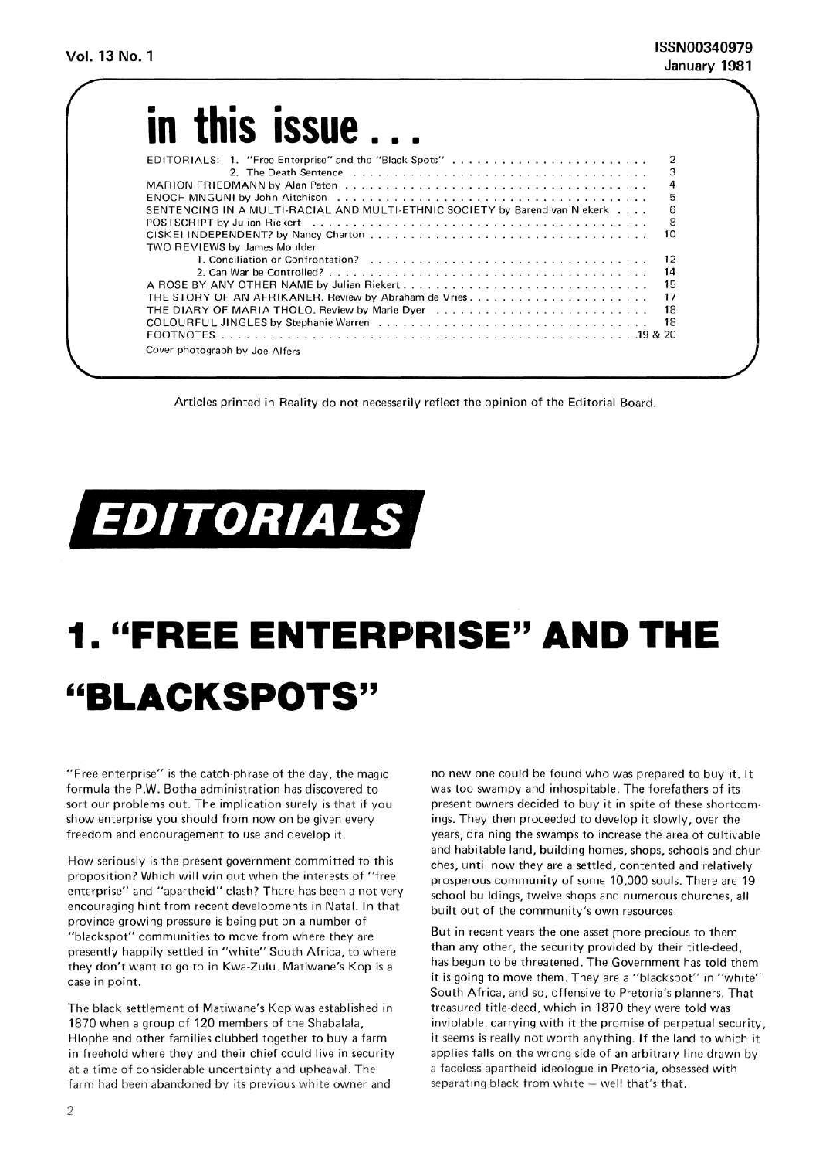| in this <b>ISSUE</b>                                                                                              |  |  |  |  |  |  |  |  |  |        |
|-------------------------------------------------------------------------------------------------------------------|--|--|--|--|--|--|--|--|--|--------|
| EDITORIALS: 1. "Free Enterprise" and the "Black Spots"                                                            |  |  |  |  |  |  |  |  |  |        |
|                                                                                                                   |  |  |  |  |  |  |  |  |  | 234568 |
|                                                                                                                   |  |  |  |  |  |  |  |  |  |        |
| ENOCH MNGUNI by John Aitchison and assessed as a conservative control of the ENOCH MNGUNI by John Aitchison and a |  |  |  |  |  |  |  |  |  |        |
| SENTENCING IN A MULTI-RACIAL AND MULTI-ETHNIC SOCIETY by Barend van Niekerk                                       |  |  |  |  |  |  |  |  |  |        |
|                                                                                                                   |  |  |  |  |  |  |  |  |  |        |
|                                                                                                                   |  |  |  |  |  |  |  |  |  | 10     |
| <b>TWO REVIEWS by James Moulder</b>                                                                               |  |  |  |  |  |  |  |  |  |        |
|                                                                                                                   |  |  |  |  |  |  |  |  |  | 12     |
|                                                                                                                   |  |  |  |  |  |  |  |  |  | 14     |
|                                                                                                                   |  |  |  |  |  |  |  |  |  | 15     |
|                                                                                                                   |  |  |  |  |  |  |  |  |  | 17     |
| THE DIARY OF MARIA THOLO. Review by Marie Dyer                                                                    |  |  |  |  |  |  |  |  |  | 18     |
|                                                                                                                   |  |  |  |  |  |  |  |  |  | 18     |
|                                                                                                                   |  |  |  |  |  |  |  |  |  |        |
| Cover photograph by Joe Alfers                                                                                    |  |  |  |  |  |  |  |  |  |        |

Articles printed in Reality do not necessarily reflect the opinion of the Editorial Board,



## **1. "FREE ENTERPRISE" AND THE a BLACKSPOTS"**

"Free enterprise" is the catch-phrase of the day, the magic formula the P.W. Botha administration has discovered to sort our problems out. The implication surely is that if you show enterprise you should from now on be given every freedom and encouragement to use and develop it.

How seriously is the present government committed to this proposition? Which will win out when the interests of "free enterprise" and "apartheid" clash? There has been a not very encouraging hint from recent developments in Natal. In that province growing pressure is being put on a number of "blackspot" communities to move from where they are presently happily settled in "white" South Africa, to where they don't want to go to in Kwa-Zulu. Matiwane's Kop is a case in point.

The black settlement of Matiwane's Kop was established in 1870 when a group of 120 members of the Shabalala, Hlophe and other families clubbed together to buy a farm in freehold where they and their chief could live in security at a time of considerable uncertainty and upheaval. The farm had been abandoned by its previous white owner and

no new one could be found who was prepared to buy it. It was too swampy and inhospitable. The forefathers of its present owners decided to buy it in spite of these shortcomings. They then proceeded to develop it slowly, over the years, draining the swamps to increase the area of cultivable and habitable land, building homes, shops, schools and churches, until now they are a settled, contented and relatively prosperous community of some 10,000 souls. There are 19 school buildings, twelve shops and numerous churches, all built out of the community's own resources.

But in recent years the one asset more precious to them than any other, the security provided by their title-deed, has begun to be threatened. The Government has told them it is going to move them. They are a "blackspot" in "white" South Africa, and so, offensive to Pretoria's planners. That treasured title-deed, which in 1870 they were told was inviolable, carrying with it the promise of perpetual security, it seems is really not worth anything. If the land to which it applies falls on the wrong side of an arbitrary line drawn by a faceless apartheid ideologue in Pretoria, obsessed with separating black from white — well that's that.